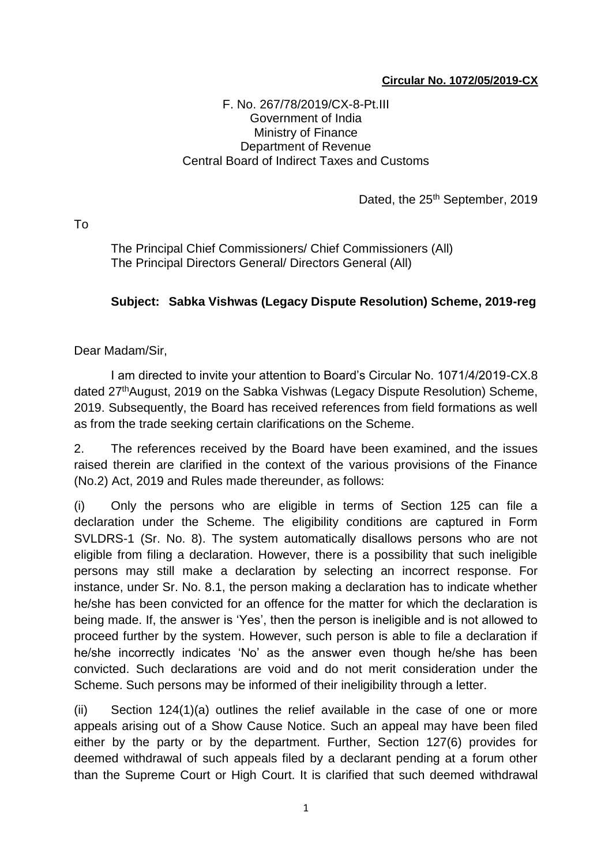## **Circular No. 1072/05/2019-CX**

## F. No. 267/78/2019/CX-8-Pt.III Government of India Ministry of Finance Department of Revenue Central Board of Indirect Taxes and Customs

Dated, the 25<sup>th</sup> September, 2019

To

The Principal Chief Commissioners/ Chief Commissioners (All) The Principal Directors General/ Directors General (All)

## **Subject: Sabka Vishwas (Legacy Dispute Resolution) Scheme, 2019-reg**

Dear Madam/Sir,

I am directed to invite your attention to Board's Circular No. 1071/4/2019-CX.8 dated 27<sup>th</sup> August, 2019 on the Sabka Vishwas (Legacy Dispute Resolution) Scheme, 2019. Subsequently, the Board has received references from field formations as well as from the trade seeking certain clarifications on the Scheme.

2. The references received by the Board have been examined, and the issues raised therein are clarified in the context of the various provisions of the Finance (No.2) Act, 2019 and Rules made thereunder, as follows:

(i) Only the persons who are eligible in terms of Section 125 can file a declaration under the Scheme. The eligibility conditions are captured in Form SVLDRS-1 (Sr. No. 8). The system automatically disallows persons who are not eligible from filing a declaration. However, there is a possibility that such ineligible persons may still make a declaration by selecting an incorrect response. For instance, under Sr. No. 8.1, the person making a declaration has to indicate whether he/she has been convicted for an offence for the matter for which the declaration is being made. If, the answer is 'Yes', then the person is ineligible and is not allowed to proceed further by the system. However, such person is able to file a declaration if he/she incorrectly indicates 'No' as the answer even though he/she has been convicted. Such declarations are void and do not merit consideration under the Scheme. Such persons may be informed of their ineligibility through a letter.

(ii) Section 124(1)(a) outlines the relief available in the case of one or more appeals arising out of a Show Cause Notice. Such an appeal may have been filed either by the party or by the department. Further, Section 127(6) provides for deemed withdrawal of such appeals filed by a declarant pending at a forum other than the Supreme Court or High Court. It is clarified that such deemed withdrawal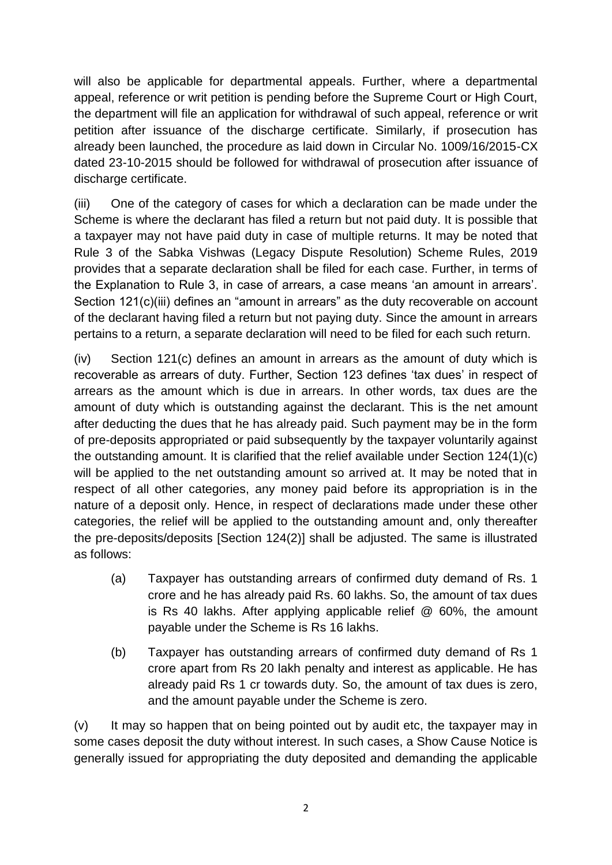will also be applicable for departmental appeals. Further, where a departmental appeal, reference or writ petition is pending before the Supreme Court or High Court, the department will file an application for withdrawal of such appeal, reference or writ petition after issuance of the discharge certificate. Similarly, if prosecution has already been launched, the procedure as laid down in Circular No. 1009/16/2015-CX dated 23-10-2015 should be followed for withdrawal of prosecution after issuance of discharge certificate.

(iii) One of the category of cases for which a declaration can be made under the Scheme is where the declarant has filed a return but not paid duty. It is possible that a taxpayer may not have paid duty in case of multiple returns. It may be noted that Rule 3 of the Sabka Vishwas (Legacy Dispute Resolution) Scheme Rules, 2019 provides that a separate declaration shall be filed for each case. Further, in terms of the Explanation to Rule 3, in case of arrears, a case means 'an amount in arrears'. Section 121(c)(iii) defines an "amount in arrears" as the duty recoverable on account of the declarant having filed a return but not paying duty. Since the amount in arrears pertains to a return, a separate declaration will need to be filed for each such return.

(iv) Section 121(c) defines an amount in arrears as the amount of duty which is recoverable as arrears of duty. Further, Section 123 defines 'tax dues' in respect of arrears as the amount which is due in arrears. In other words, tax dues are the amount of duty which is outstanding against the declarant. This is the net amount after deducting the dues that he has already paid. Such payment may be in the form of pre-deposits appropriated or paid subsequently by the taxpayer voluntarily against the outstanding amount. It is clarified that the relief available under Section 124(1)(c) will be applied to the net outstanding amount so arrived at. It may be noted that in respect of all other categories, any money paid before its appropriation is in the nature of a deposit only. Hence, in respect of declarations made under these other categories, the relief will be applied to the outstanding amount and, only thereafter the pre-deposits/deposits [Section 124(2)] shall be adjusted. The same is illustrated as follows:

- (a) Taxpayer has outstanding arrears of confirmed duty demand of Rs. 1 crore and he has already paid Rs. 60 lakhs. So, the amount of tax dues is Rs 40 lakhs. After applying applicable relief @ 60%, the amount payable under the Scheme is Rs 16 lakhs.
- (b) Taxpayer has outstanding arrears of confirmed duty demand of Rs 1 crore apart from Rs 20 lakh penalty and interest as applicable. He has already paid Rs 1 cr towards duty. So, the amount of tax dues is zero, and the amount payable under the Scheme is zero.

(v) It may so happen that on being pointed out by audit etc, the taxpayer may in some cases deposit the duty without interest. In such cases, a Show Cause Notice is generally issued for appropriating the duty deposited and demanding the applicable